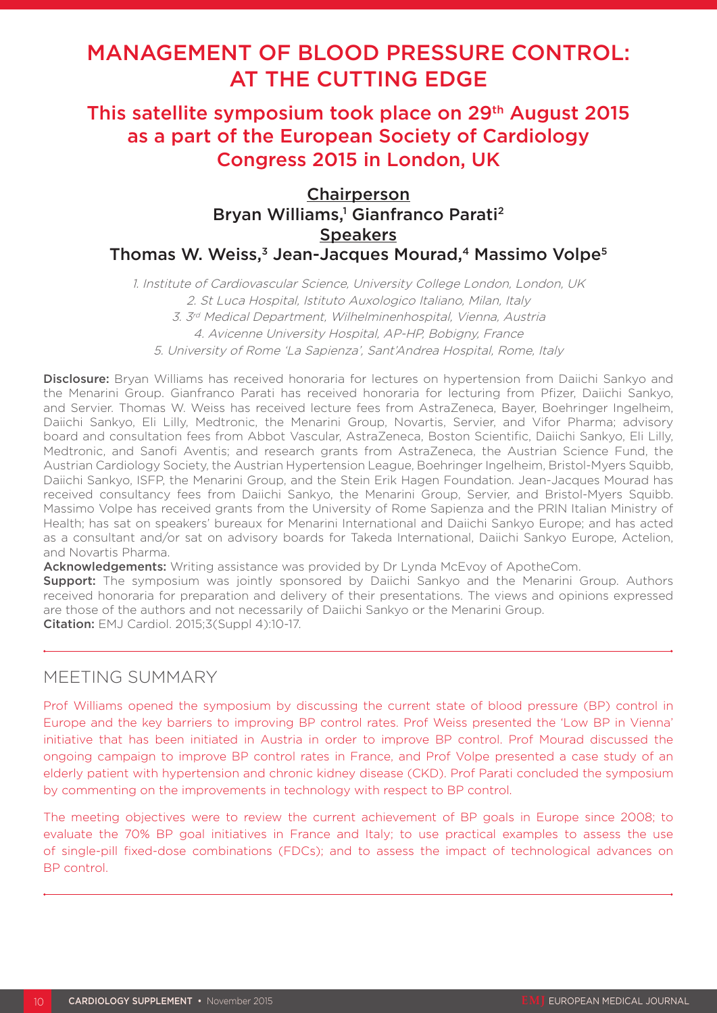# MANAGEMENT OF BLOOD PRESSURE CONTROL: AT THE CUTTING EDGE

## This satellite symposium took place on 29<sup>th</sup> August 2015 as a part of the European Society of Cardiology Congress 2015 in London, UK

## **Chairperson** Bryan Williams,<sup>1</sup> Gianfranco Parati<sup>2</sup> **Speakers** Thomas W. Weiss,<sup>3</sup> Jean-Jacques Mourad,<sup>4</sup> Massimo Volpe<sup>5</sup>

1. Institute of Cardiovascular Science, University College London, London, UK 2. St Luca Hospital, Istituto Auxologico Italiano, Milan, Italy 3. 3rd Medical Department, Wilhelminenhospital, Vienna, Austria 4. Avicenne University Hospital, AP-HP, Bobigny, France 5. University of Rome 'La Sapienza', Sant'Andrea Hospital, Rome, Italy

Disclosure: Bryan Williams has received honoraria for lectures on hypertension from Daiichi Sankyo and the Menarini Group. Gianfranco Parati has received honoraria for lecturing from Pfizer, Daiichi Sankyo, and Servier. Thomas W. Weiss has received lecture fees from AstraZeneca, Bayer, Boehringer Ingelheim, Daiichi Sankyo, Eli Lilly, Medtronic, the Menarini Group, Novartis, Servier, and Vifor Pharma; advisory board and consultation fees from Abbot Vascular, AstraZeneca, Boston Scientific, Daiichi Sankyo, Eli Lilly, Medtronic, and Sanofi Aventis; and research grants from AstraZeneca, the Austrian Science Fund, the Austrian Cardiology Society, the Austrian Hypertension League, Boehringer Ingelheim, Bristol-Myers Squibb, Daiichi Sankyo, ISFP, the Menarini Group, and the Stein Erik Hagen Foundation. Jean-Jacques Mourad has received consultancy fees from Daiichi Sankyo, the Menarini Group, Servier, and Bristol-Myers Squibb. Massimo Volpe has received grants from the University of Rome Sapienza and the PRIN Italian Ministry of Health; has sat on speakers' bureaux for Menarini International and Daiichi Sankyo Europe; and has acted as a consultant and/or sat on advisory boards for Takeda International, Daiichi Sankyo Europe, Actelion, and Novartis Pharma.

Acknowledgements: Writing assistance was provided by Dr Lynda McEvoy of ApotheCom.

**Support:** The symposium was jointly sponsored by Daiichi Sankyo and the Menarini Group. Authors received honoraria for preparation and delivery of their presentations. The views and opinions expressed are those of the authors and not necessarily of Daiichi Sankyo or the Menarini Group. Citation: EMJ Cardiol. 2015;3(Suppl 4):10-17.

## MEETING SUMMARY

Prof Williams opened the symposium by discussing the current state of blood pressure (BP) control in Europe and the key barriers to improving BP control rates. Prof Weiss presented the 'Low BP in Vienna' initiative that has been initiated in Austria in order to improve BP control. Prof Mourad discussed the ongoing campaign to improve BP control rates in France, and Prof Volpe presented a case study of an elderly patient with hypertension and chronic kidney disease (CKD). Prof Parati concluded the symposium by commenting on the improvements in technology with respect to BP control.

The meeting objectives were to review the current achievement of BP goals in Europe since 2008; to evaluate the 70% BP goal initiatives in France and Italy; to use practical examples to assess the use of single-pill fixed-dose combinations (FDCs); and to assess the impact of technological advances on BP control.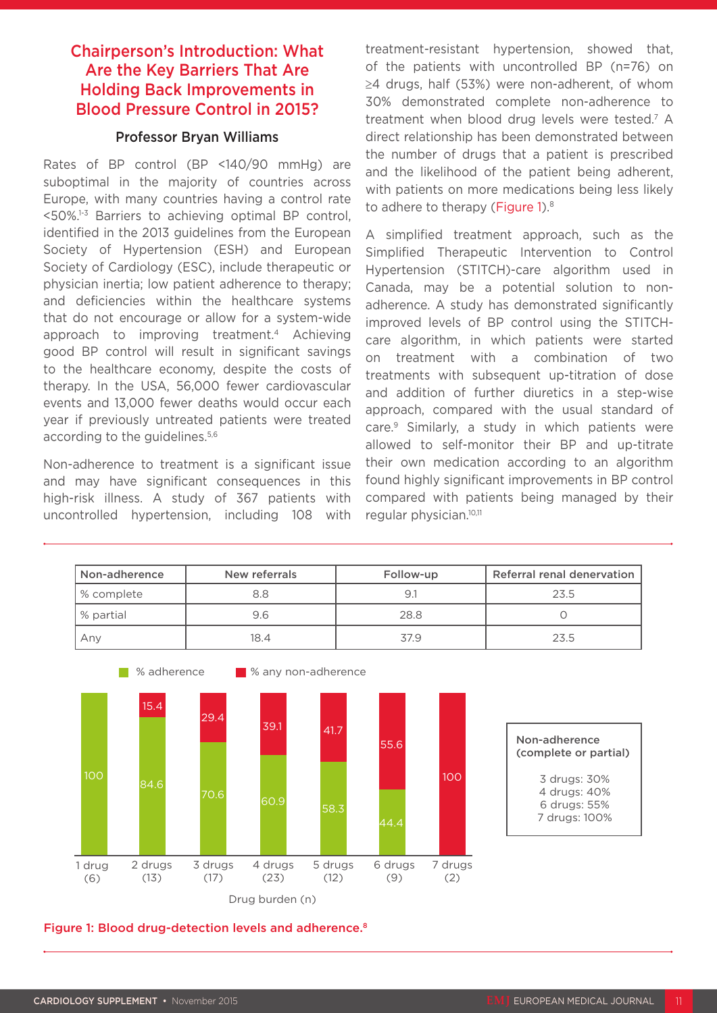## Chairperson's Introduction: What Are the Key Barriers That Are Holding Back Improvements in Blood Pressure Control in 2015?

#### Professor Bryan Williams

Rates of BP control (BP <140/90 mmHg) are suboptimal in the majority of countries across Europe, with many countries having a control rate  $50\%$ <sup>1-3</sup> Barriers to achieving optimal BP control, identified in the 2013 guidelines from the European Society of Hypertension (ESH) and European Society of Cardiology (ESC), include therapeutic or physician inertia; low patient adherence to therapy; and deficiencies within the healthcare systems that do not encourage or allow for a system-wide approach to improving treatment.4 Achieving good BP control will result in significant savings to the healthcare economy, despite the costs of therapy. In the USA, 56,000 fewer cardiovascular events and 13,000 fewer deaths would occur each year if previously untreated patients were treated according to the guidelines.<sup>5,6</sup>

Non-adherence to treatment is a significant issue and may have significant consequences in this high-risk illness. A study of 367 patients with uncontrolled hypertension, including 108 with treatment-resistant hypertension, showed that, of the patients with uncontrolled BP (n=76) on ≥4 drugs, half (53%) were non-adherent, of whom 30% demonstrated complete non-adherence to treatment when blood drug levels were tested.7 A direct relationship has been demonstrated between the number of drugs that a patient is prescribed and the likelihood of the patient being adherent, with patients on more medications being less likely to adhere to therapy (Figure 1).<sup>8</sup>

A simplified treatment approach, such as the Simplified Therapeutic Intervention to Control Hypertension (STITCH)-care algorithm used in Canada, may be a potential solution to nonadherence. A study has demonstrated significantly improved levels of BP control using the STITCHcare algorithm, in which patients were started on treatment with a combination of two treatments with subsequent up-titration of dose and addition of further diuretics in a step-wise approach, compared with the usual standard of care.<sup>9</sup> Similarly, a study in which patients were allowed to self-monitor their BP and up-titrate their own medication according to an algorithm found highly significant improvements in BP control compared with patients being managed by their regular physician.10,11



Figure 1: Blood drug-detection levels and adherence.<sup>8</sup>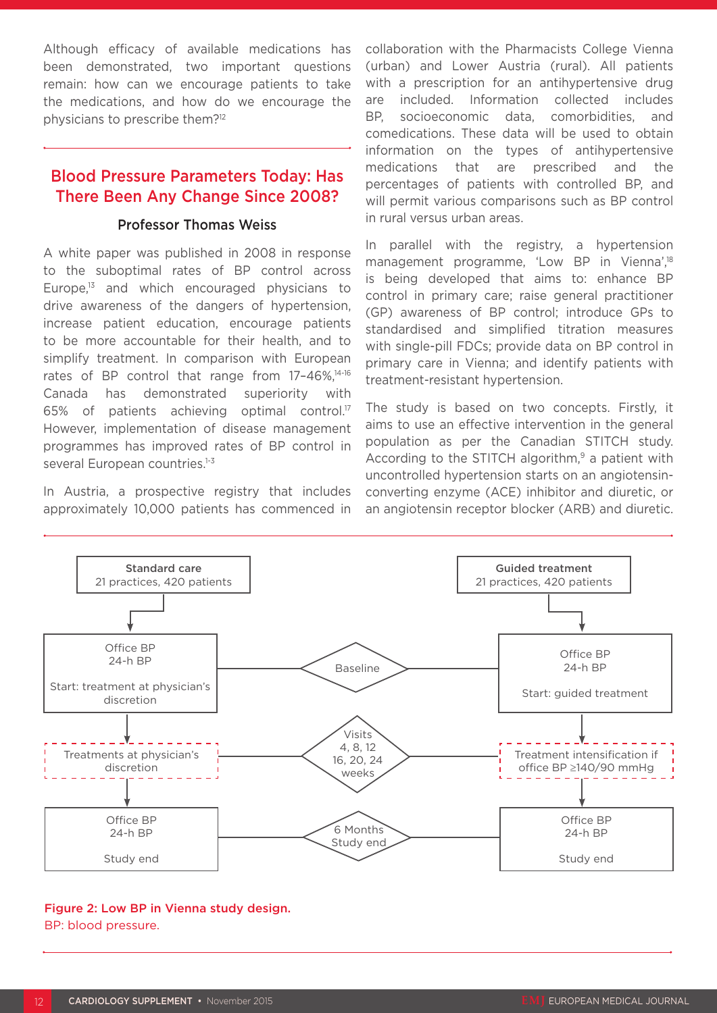Although efficacy of available medications has been demonstrated, two important questions remain: how can we encourage patients to take the medications, and how do we encourage the physicians to prescribe them?12

### Blood Pressure Parameters Today: Has There Been Any Change Since 2008?

#### Professor Thomas Weiss

A white paper was published in 2008 in response to the suboptimal rates of BP control across Europe,13 and which encouraged physicians to drive awareness of the dangers of hypertension, increase patient education, encourage patients to be more accountable for their health, and to simplify treatment. In comparison with European rates of BP control that range from 17-46%,<sup>14-16</sup> Canada has demonstrated superiority with 65% of patients achieving optimal control.17 However, implementation of disease management programmes has improved rates of BP control in several European countries.<sup>1-3</sup>

In Austria, a prospective registry that includes approximately 10,000 patients has commenced in collaboration with the Pharmacists College Vienna (urban) and Lower Austria (rural). All patients with a prescription for an antihypertensive drug are included. Information collected includes BP, socioeconomic data, comorbidities, and comedications. These data will be used to obtain information on the types of antihypertensive medications that are prescribed and the percentages of patients with controlled BP, and will permit various comparisons such as BP control in rural versus urban areas.

In parallel with the registry, a hypertension management programme, 'Low BP in Vienna',<sup>18</sup> is being developed that aims to: enhance BP control in primary care; raise general practitioner (GP) awareness of BP control; introduce GPs to standardised and simplified titration measures with single-pill FDCs; provide data on BP control in primary care in Vienna; and identify patients with treatment-resistant hypertension.

The study is based on two concepts. Firstly, it aims to use an effective intervention in the general population as per the Canadian STITCH study. According to the STITCH algorithm, $9$  a patient with uncontrolled hypertension starts on an angiotensinconverting enzyme (ACE) inhibitor and diuretic, or an angiotensin receptor blocker (ARB) and diuretic.



#### Figure 2: Low BP in Vienna study design. BP: blood pressure.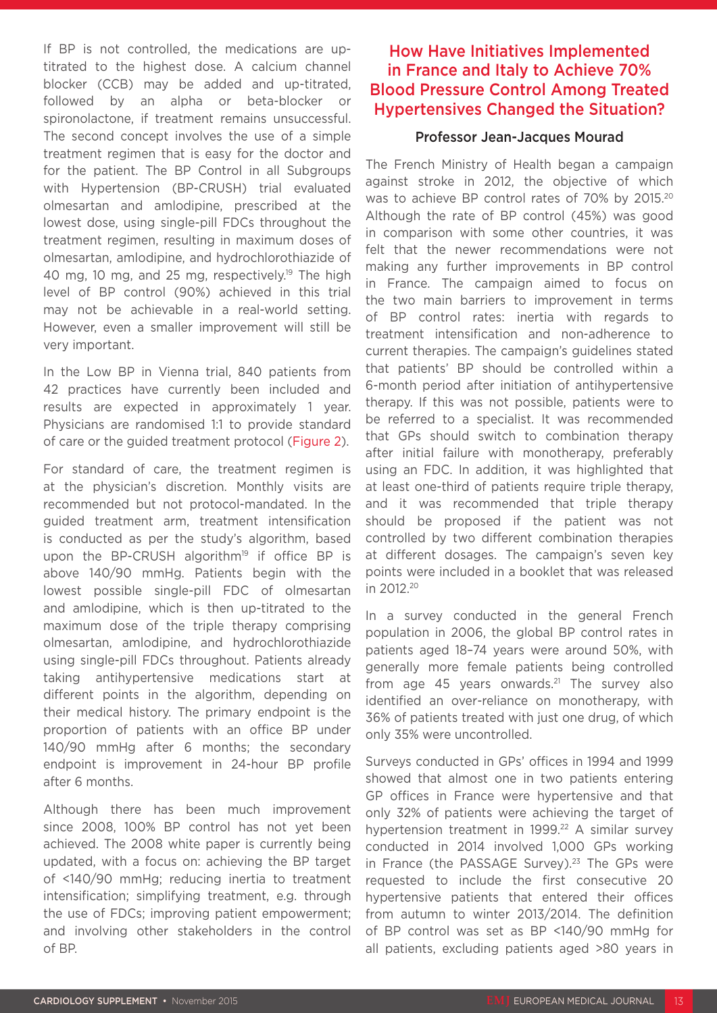If BP is not controlled, the medications are uptitrated to the highest dose. A calcium channel blocker (CCB) may be added and up-titrated, followed by an alpha or beta-blocker or spironolactone, if treatment remains unsuccessful. The second concept involves the use of a simple treatment regimen that is easy for the doctor and for the patient. The BP Control in all Subgroups with Hypertension (BP-CRUSH) trial evaluated olmesartan and amlodipine, prescribed at the lowest dose, using single-pill FDCs throughout the treatment regimen, resulting in maximum doses of olmesartan, amlodipine, and hydrochlorothiazide of 40 mg, 10 mg, and 25 mg, respectively.<sup>19</sup> The high level of BP control (90%) achieved in this trial may not be achievable in a real-world setting. However, even a smaller improvement will still be very important.

In the Low BP in Vienna trial, 840 patients from 42 practices have currently been included and results are expected in approximately 1 year. Physicians are randomised 1:1 to provide standard of care or the guided treatment protocol (Figure 2).

For standard of care, the treatment regimen is at the physician's discretion. Monthly visits are recommended but not protocol-mandated. In the guided treatment arm, treatment intensification is conducted as per the study's algorithm, based upon the BP-CRUSH algorithm<sup>19</sup> if office BP is above 140/90 mmHg. Patients begin with the lowest possible single-pill FDC of olmesartan and amlodipine, which is then up-titrated to the maximum dose of the triple therapy comprising olmesartan, amlodipine, and hydrochlorothiazide using single-pill FDCs throughout. Patients already taking antihypertensive medications start at different points in the algorithm, depending on their medical history. The primary endpoint is the proportion of patients with an office BP under 140/90 mmHg after 6 months; the secondary endpoint is improvement in 24-hour BP profile after 6 months.

Although there has been much improvement since 2008, 100% BP control has not yet been achieved. The 2008 white paper is currently being updated, with a focus on: achieving the BP target of <140/90 mmHg; reducing inertia to treatment intensification; simplifying treatment, e.g. through the use of FDCs; improving patient empowerment; and involving other stakeholders in the control of BP.

## How Have Initiatives Implemented in France and Italy to Achieve 70% Blood Pressure Control Among Treated Hypertensives Changed the Situation?

#### Professor Jean-Jacques Mourad

The French Ministry of Health began a campaign against stroke in 2012, the objective of which was to achieve BP control rates of 70% by 2015.20 Although the rate of BP control (45%) was good in comparison with some other countries, it was felt that the newer recommendations were not making any further improvements in BP control in France. The campaign aimed to focus on the two main barriers to improvement in terms of BP control rates: inertia with regards to treatment intensification and non-adherence to current therapies. The campaign's guidelines stated that patients' BP should be controlled within a 6-month period after initiation of antihypertensive therapy. If this was not possible, patients were to be referred to a specialist. It was recommended that GPs should switch to combination therapy after initial failure with monotherapy, preferably using an FDC. In addition, it was highlighted that at least one-third of patients require triple therapy, and it was recommended that triple therapy should be proposed if the patient was not controlled by two different combination therapies at different dosages. The campaign's seven key points were included in a booklet that was released in 2012.20

In a survey conducted in the general French population in 2006, the global BP control rates in patients aged 18–74 years were around 50%, with generally more female patients being controlled from age 45 years onwards. $21$  The survey also identified an over-reliance on monotherapy, with 36% of patients treated with just one drug, of which only 35% were uncontrolled.

Surveys conducted in GPs' offices in 1994 and 1999 showed that almost one in two patients entering GP offices in France were hypertensive and that only 32% of patients were achieving the target of hypertension treatment in 1999.<sup>22</sup> A similar survey conducted in 2014 involved 1,000 GPs working in France (the PASSAGE Survey).<sup>23</sup> The GPs were requested to include the first consecutive 20 hypertensive patients that entered their offices from autumn to winter 2013/2014. The definition of BP control was set as BP <140/90 mmHg for all patients, excluding patients aged >80 years in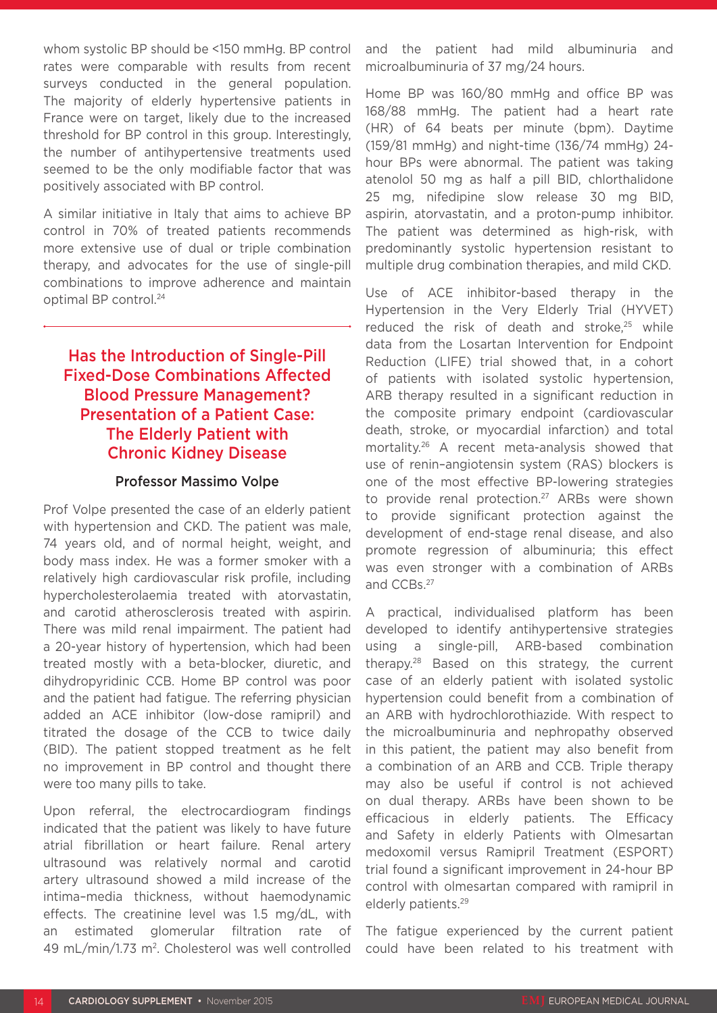whom systolic BP should be <150 mmHg. BP control rates were comparable with results from recent surveys conducted in the general population. The majority of elderly hypertensive patients in France were on target, likely due to the increased threshold for BP control in this group. Interestingly, the number of antihypertensive treatments used seemed to be the only modifiable factor that was positively associated with BP control.

A similar initiative in Italy that aims to achieve BP control in 70% of treated patients recommends more extensive use of dual or triple combination therapy, and advocates for the use of single-pill combinations to improve adherence and maintain optimal BP control.<sup>24</sup>

## Has the Introduction of Single-Pill Fixed-Dose Combinations Affected Blood Pressure Management? Presentation of a Patient Case: The Elderly Patient with Chronic Kidney Disease

#### Professor Massimo Volpe

Prof Volpe presented the case of an elderly patient with hypertension and CKD. The patient was male, 74 years old, and of normal height, weight, and body mass index. He was a former smoker with a relatively high cardiovascular risk profile, including hypercholesterolaemia treated with atorvastatin, and carotid atherosclerosis treated with aspirin. There was mild renal impairment. The patient had a 20-year history of hypertension, which had been treated mostly with a beta-blocker, diuretic, and dihydropyridinic CCB. Home BP control was poor and the patient had fatigue. The referring physician added an ACE inhibitor (low-dose ramipril) and titrated the dosage of the CCB to twice daily (BID). The patient stopped treatment as he felt no improvement in BP control and thought there were too many pills to take.

Upon referral, the electrocardiogram findings indicated that the patient was likely to have future atrial fibrillation or heart failure. Renal artery ultrasound was relatively normal and carotid artery ultrasound showed a mild increase of the intima–media thickness, without haemodynamic effects. The creatinine level was 1.5 mg/dL, with an estimated glomerular filtration rate of 49 mL/min/1.73 m2. Cholesterol was well controlled

and the patient had mild albuminuria and microalbuminuria of 37 mg/24 hours.

Home BP was 160/80 mmHg and office BP was 168/88 mmHg. The patient had a heart rate (HR) of 64 beats per minute (bpm). Daytime (159/81 mmHg) and night-time (136/74 mmHg) 24 hour BPs were abnormal. The patient was taking atenolol 50 mg as half a pill BID, chlorthalidone 25 mg, nifedipine slow release 30 mg BID, aspirin, atorvastatin, and a proton-pump inhibitor. The patient was determined as high-risk, with predominantly systolic hypertension resistant to multiple drug combination therapies, and mild CKD.

Use of ACE inhibitor-based therapy in the Hypertension in the Very Elderly Trial (HYVET) reduced the risk of death and stroke.<sup>25</sup> while data from the Losartan Intervention for Endpoint Reduction (LIFE) trial showed that, in a cohort of patients with isolated systolic hypertension, ARB therapy resulted in a significant reduction in the composite primary endpoint (cardiovascular death, stroke, or myocardial infarction) and total mortality.26 A recent meta-analysis showed that use of renin–angiotensin system (RAS) blockers is one of the most effective BP-lowering strategies to provide renal protection.<sup>27</sup> ARBs were shown to provide significant protection against the development of end-stage renal disease, and also promote regression of albuminuria; this effect was even stronger with a combination of ARBs and CCBs.27

A practical, individualised platform has been developed to identify antihypertensive strategies using a single-pill, ARB-based combination therapy.28 Based on this strategy, the current case of an elderly patient with isolated systolic hypertension could benefit from a combination of an ARB with hydrochlorothiazide. With respect to the microalbuminuria and nephropathy observed in this patient, the patient may also benefit from a combination of an ARB and CCB. Triple therapy may also be useful if control is not achieved on dual therapy. ARBs have been shown to be efficacious in elderly patients. The Efficacy and Safety in elderly Patients with Olmesartan medoxomil versus Ramipril Treatment (ESPORT) trial found a significant improvement in 24-hour BP control with olmesartan compared with ramipril in elderly patients.<sup>29</sup>

The fatigue experienced by the current patient could have been related to his treatment with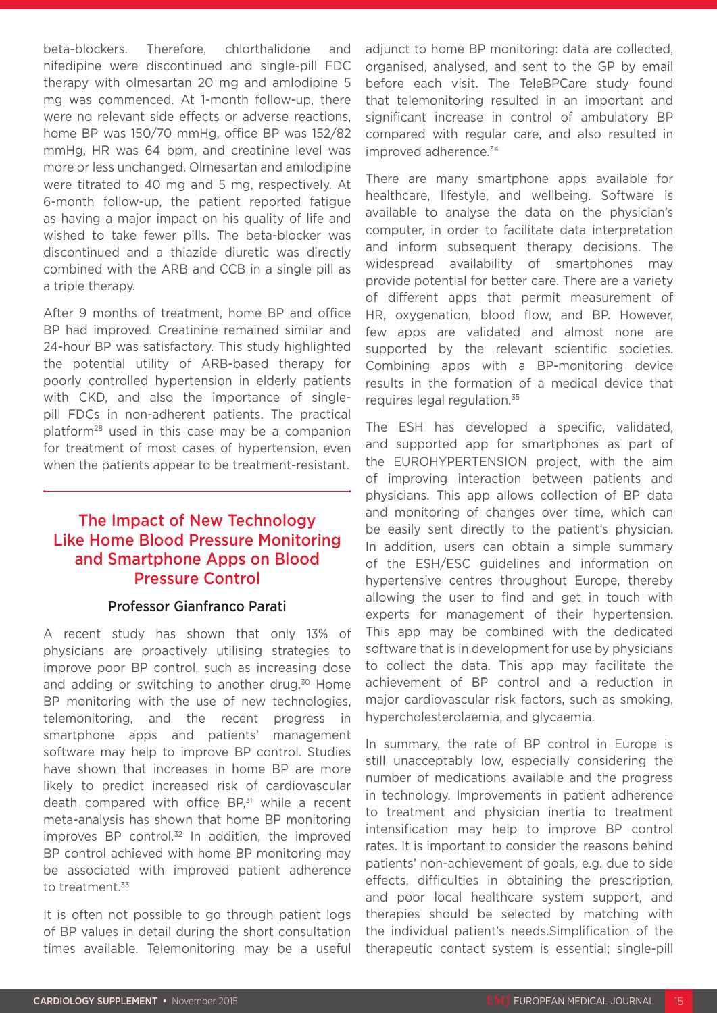beta-blockers. Therefore, chlorthalidone and nifedipine were discontinued and single-pill FDC therapy with olmesartan 20 mg and amlodipine 5 mg was commenced. At 1-month follow-up, there were no relevant side effects or adverse reactions, home BP was 150/70 mmHg, office BP was 152/82 mmHg, HR was 64 bpm, and creatinine level was more or less unchanged. Olmesartan and amlodipine were titrated to 40 mg and 5 mg, respectively. At 6-month follow-up, the patient reported fatigue as having a major impact on his quality of life and wished to take fewer pills. The beta-blocker was discontinued and a thiazide diuretic was directly combined with the ARB and CCB in a single pill as a triple therapy.

After 9 months of treatment, home BP and office BP had improved. Creatinine remained similar and 24-hour BP was satisfactory. This study highlighted the potential utility of ARB-based therapy for poorly controlled hypertension in elderly patients with CKD, and also the importance of singlepill FDCs in non-adherent patients. The practical platform28 used in this case may be a companion for treatment of most cases of hypertension, even when the patients appear to be treatment-resistant.

## The Impact of New Technology Like Home Blood Pressure Monitoring and Smartphone Apps on Blood Pressure Control

#### Professor Gianfranco Parati

A recent study has shown that only 13% of physicians are proactively utilising strategies to improve poor BP control, such as increasing dose and adding or switching to another drug.<sup>30</sup> Home BP monitoring with the use of new technologies, telemonitoring, and the recent progress in smartphone apps and patients' management software may help to improve BP control. Studies have shown that increases in home BP are more likely to predict increased risk of cardiovascular death compared with office BP,<sup>31</sup> while a recent meta-analysis has shown that home BP monitoring improves BP control.<sup>32</sup> In addition, the improved BP control achieved with home BP monitoring may be associated with improved patient adherence to treatment.<sup>33</sup>

It is often not possible to go through patient logs of BP values in detail during the short consultation times available. Telemonitoring may be a useful adjunct to home BP monitoring: data are collected, organised, analysed, and sent to the GP by email before each visit. The TeleBPCare study found that telemonitoring resulted in an important and significant increase in control of ambulatory BP compared with regular care, and also resulted in improved adherence.<sup>34</sup>

There are many smartphone apps available for healthcare, lifestyle, and wellbeing. Software is available to analyse the data on the physician's computer, in order to facilitate data interpretation and inform subsequent therapy decisions. The widespread availability of smartphones may provide potential for better care. There are a variety of different apps that permit measurement of HR, oxygenation, blood flow, and BP. However, few apps are validated and almost none are supported by the relevant scientific societies. Combining apps with a BP-monitoring device results in the formation of a medical device that requires legal regulation.35

The ESH has developed a specific, validated, and supported app for smartphones as part of the EUROHYPERTENSION project, with the aim of improving interaction between patients and physicians. This app allows collection of BP data and monitoring of changes over time, which can be easily sent directly to the patient's physician. In addition, users can obtain a simple summary of the ESH/ESC guidelines and information on hypertensive centres throughout Europe, thereby allowing the user to find and get in touch with experts for management of their hypertension. This app may be combined with the dedicated software that is in development for use by physicians to collect the data. This app may facilitate the achievement of BP control and a reduction in major cardiovascular risk factors, such as smoking, hypercholesterolaemia, and glycaemia.

In summary, the rate of BP control in Europe is still unacceptably low, especially considering the number of medications available and the progress in technology. Improvements in patient adherence to treatment and physician inertia to treatment intensification may help to improve BP control rates. It is important to consider the reasons behind patients' non-achievement of goals, e.g. due to side effects, difficulties in obtaining the prescription, and poor local healthcare system support, and therapies should be selected by matching with the individual patient's needs.Simplification of the therapeutic contact system is essential; single-pill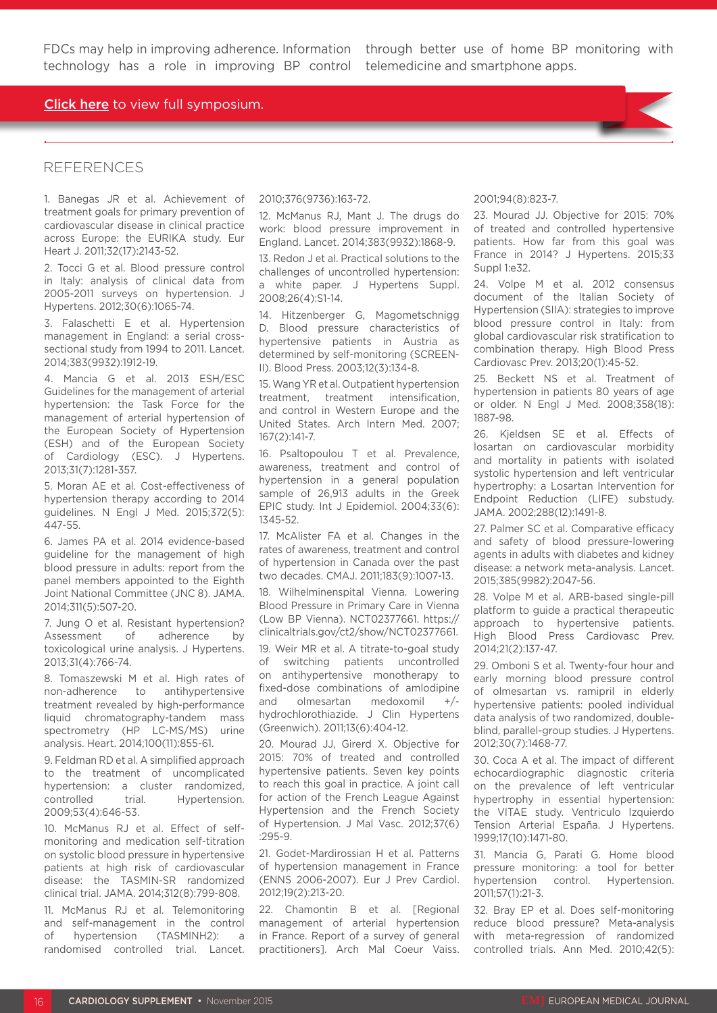FDCs may help in improving adherence. Information through better use of home BP monitoring with

#### **Click here** to view full symposium.

#### REFERENCES

1. Banegas JR et al. Achievement of treatment goals for primary prevention of cardiovascular disease in clinical practice across Europe: the EURIKA study. Eur Heart J. 2011;32(17):2143-52.

2. Tocci G et al. Blood pressure control in Italy: analysis of clinical data from 2005-2011 surveys on hypertension. J Hypertens. 2012;30(6):1065-74.

3. Falaschetti E et al. Hypertension management in England: a serial crosssectional study from 1994 to 2011. Lancet. 2014;383(9932):1912-19.

4. Mancia G et al. 2013 ESH/ESC Guidelines for the management of arterial hypertension: the Task Force for the management of arterial hypertension of the European Society of Hypertension (ESH) and of the European Society of Cardiology (ESC). J Hypertens. 2013;31(7):1281-357.

5. Moran AE et al. Cost-effectiveness of hypertension therapy according to 2014 guidelines. N Engl J Med. 2015;372(5): 447-55.

6. James PA et al. 2014 evidence-based guideline for the management of high blood pressure in adults: report from the panel members appointed to the Eighth Joint National Committee (JNC 8). JAMA. 2014;311(5):507-20.

7. Jung O et al. Resistant hypertension? Assessment of adherence by toxicological urine analysis. J Hypertens. 2013;31(4):766-74.

8. Tomaszewski M et al. High rates of non-adherence to antihypertensive treatment revealed by high-performance liquid chromatography-tandem mass spectrometry (HP LC-MS/MS) urine analysis. Heart. 2014;100(11):855-61.

9. Feldman RD et al. A simplified approach to the treatment of uncomplicated hypertension: a cluster randomized, controlled trial. Hypertension. 2009;53(4):646-53.

10. McManus RJ et al. Effect of selfmonitoring and medication self-titration on systolic blood pressure in hypertensive patients at high risk of cardiovascular disease: the TASMIN-SR randomized clinical trial. JAMA. 2014;312(8):799-808.

11. McManus RJ et al. Telemonitoring and self-management in the control of hypertension (TASMINH2): a randomised controlled trial. Lancet.

#### 2010;376(9736):163-72.

12. McManus RJ, Mant J. The drugs do work: blood pressure improvement in England. Lancet. 2014;383(9932):1868-9.

13. Redon J et al. Practical solutions to the challenges of uncontrolled hypertension: a white paper. J Hypertens Suppl. 2008;26(4):S1-14.

14. Hitzenberger G, Magometschnigg D. Blood pressure characteristics of hypertensive patients in Austria as determined by self-monitoring (SCREEN-II). Blood Press. 2003;12(3):134-8.

15. Wang YR et al. Outpatient hypertension treatment, treatment intensification, and control in Western Europe and the United States. Arch Intern Med. 2007; 167(2):141-7.

16. Psaltopoulou T et al. Prevalence, awareness, treatment and control of hypertension in a general population sample of 26,913 adults in the Greek EPIC study. Int J Epidemiol. 2004;33(6): 1345-52.

17. McAlister FA et al. Changes in the rates of awareness, treatment and control of hypertension in Canada over the past two decades. CMAJ. 2011;183(9):1007-13.

18. Wilhelminenspital Vienna. Lowering Blood Pressure in Primary Care in Vienna (Low BP Vienna). NCT02377661. https:// clinicaltrials.gov/ct2/show/NCT02377661.

19. Weir MR et al. A titrate-to-goal study of switching patients uncontrolled on antihypertensive monotherapy to fixed-dose combinations of amlodipine and olmesartan medoxomil +/ hydrochlorothiazide. J Clin Hypertens (Greenwich). 2011;13(6):404-12.

20. Mourad JJ, Girerd X. Objective for 2015: 70% of treated and controlled hypertensive patients. Seven key points to reach this goal in practice. A joint call for action of the French League Against Hypertension and the French Society of Hypertension. J Mal Vasc. 2012;37(6) :295-9.

21. Godet-Mardirossian H et al. Patterns of hypertension management in France (ENNS 2006-2007). Eur J Prev Cardiol. 2012;19(2):213-20.

22. Chamontin B et al. [Regional management of arterial hypertension in France. Report of a survey of general practitioners]. Arch Mal Coeur Vaiss.

#### 2001;94(8):823-7.

23. Mourad JJ. Objective for 2015: 70% of treated and controlled hypertensive patients. How far from this goal was France in 2014? J Hypertens. 2015;33 Suppl 1:e32.

24. Volpe M et al. 2012 consensus document of the Italian Society of Hypertension (SIIA): strategies to improve blood pressure control in Italy: from global cardiovascular risk stratification to combination therapy. High Blood Press Cardiovasc Prev. 2013;20(1):45-52.

25. Beckett NS et al. Treatment of hypertension in patients 80 years of age or older. N Engl J Med. 2008;358(18): 1887-98.

26. Kjeldsen SE et al. Effects of losartan on cardiovascular morbidity and mortality in patients with isolated systolic hypertension and left ventricular hypertrophy: a Losartan Intervention for Endpoint Reduction (LIFE) substudy. JAMA. 2002;288(12):1491-8.

27. Palmer SC et al. Comparative efficacy and safety of blood pressure-lowering agents in adults with diabetes and kidney disease: a network meta-analysis. Lancet. 2015;385(9982):2047-56.

28. Volpe M et al. ARB-based single-pill platform to guide a practical therapeutic approach to hypertensive patients. High Blood Press Cardiovasc Prev. 2014;21(2):137-47.

29. Omboni S et al. Twenty-four hour and early morning blood pressure control of olmesartan vs. ramipril in elderly hypertensive patients: pooled individual data analysis of two randomized, doubleblind, parallel-group studies. J Hypertens. 2012;30(7):1468-77.

30. Coca A et al. The impact of different echocardiographic diagnostic criteria on the prevalence of left ventricular hypertrophy in essential hypertension: the VITAE study. Ventriculo Izquierdo Tension Arterial España. J Hypertens. 1999;17(10):1471-80.

31. Mancia G, Parati G. Home blood pressure monitoring: a tool for better hypertension control. Hypertension. 2011;57(1):21-3.

32. Bray EP et al. Does self-monitoring reduce blood pressure? Meta-analysis with meta-regression of randomized controlled trials. Ann Med. 2010;42(5):